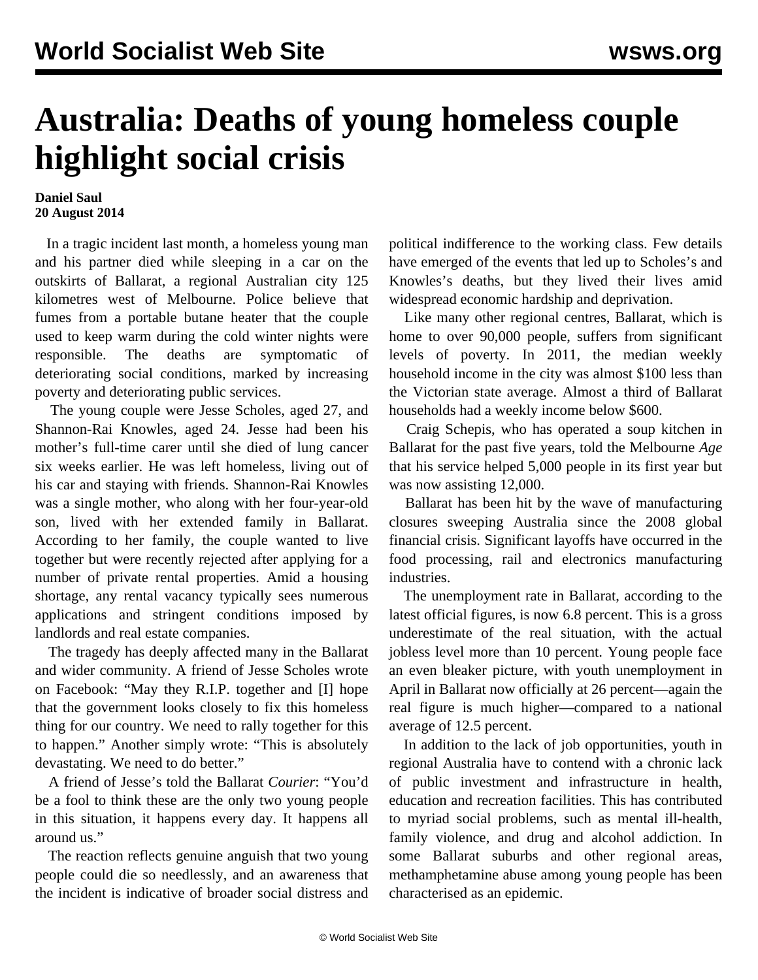## **Australia: Deaths of young homeless couple highlight social crisis**

## **Daniel Saul 20 August 2014**

 In a tragic incident last month, a homeless young man and his partner died while sleeping in a car on the outskirts of Ballarat, a regional Australian city 125 kilometres west of Melbourne. Police believe that fumes from a portable butane heater that the couple used to keep warm during the cold winter nights were responsible. The deaths are symptomatic of deteriorating social conditions, marked by increasing poverty and deteriorating public services.

 The young couple were Jesse Scholes, aged 27, and Shannon-Rai Knowles, aged 24. Jesse had been his mother's full-time carer until she died of lung cancer six weeks earlier. He was left homeless, living out of his car and staying with friends. Shannon-Rai Knowles was a single mother, who along with her four-year-old son, lived with her extended family in Ballarat. According to her family, the couple wanted to live together but were recently rejected after applying for a number of private rental properties. Amid a housing shortage, any rental vacancy typically sees numerous applications and stringent conditions imposed by landlords and real estate companies.

 The tragedy has deeply affected many in the Ballarat and wider community. A friend of Jesse Scholes wrote on Facebook: "May they R.I.P. together and [I] hope that the government looks closely to fix this homeless thing for our country. We need to rally together for this to happen." Another simply wrote: "This is absolutely devastating. We need to do better."

 A friend of Jesse's told the Ballarat *Courier*: "You'd be a fool to think these are the only two young people in this situation, it happens every day. It happens all around us."

 The reaction reflects genuine anguish that two young people could die so needlessly, and an awareness that the incident is indicative of broader social distress and political indifference to the working class. Few details have emerged of the events that led up to Scholes's and Knowles's deaths, but they lived their lives amid widespread economic hardship and deprivation.

 Like many other regional centres, Ballarat, which is home to over 90,000 people, suffers from significant levels of poverty. In 2011, the median weekly household income in the city was almost \$100 less than the Victorian state average. Almost a third of Ballarat households had a weekly income below \$600.

 Craig Schepis, who has operated a soup kitchen in Ballarat for the past five years, told the Melbourne *Age* that his service helped 5,000 people in its first year but was now assisting 12,000.

 Ballarat has been hit by the wave of manufacturing closures sweeping Australia since the 2008 global financial crisis. Significant layoffs have occurred in the food processing, rail and electronics manufacturing industries.

 The unemployment rate in Ballarat, according to the latest official figures, is now 6.8 percent. This is a gross underestimate of the real situation, with the actual jobless level more than 10 percent. Young people face an even bleaker picture, with youth unemployment in April in Ballarat now officially at 26 percent—again the real figure is much higher—compared to a national average of 12.5 percent.

 In addition to the lack of job opportunities, youth in regional Australia have to contend with a chronic lack of public investment and infrastructure in health, education and recreation facilities. This has contributed to myriad social problems, such as mental ill-health, family violence, and drug and alcohol addiction. In some Ballarat suburbs and other regional areas, methamphetamine abuse among young people has been characterised as an epidemic.